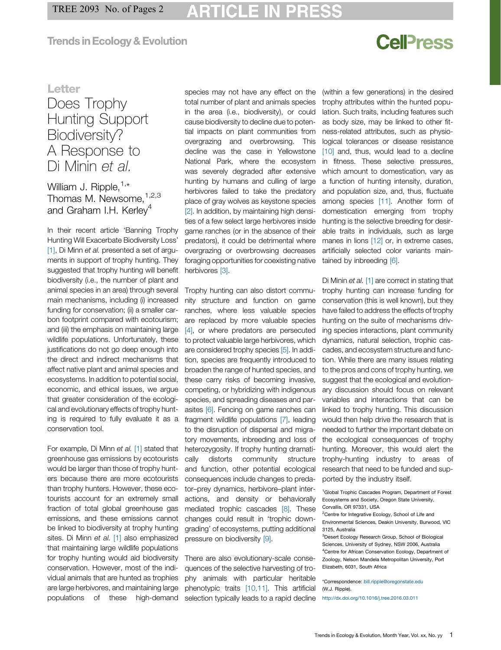### **Trends in Ecology & Evolution**

# **CellPress**

### **Letter**

## Does Trophy Hunting Support Biodiversity? A Response to Di Minin et al.

William J. Ripple,  $1, *$ Thomas M. Newsome, 1,2,3 and Graham I.H. Kerley<sup>4</sup>

In their recent article 'Banning Trophy Hunting Will Exacerbate Biodiversity Loss' [\[1\]](#page-1-0), Di Minn et al. presented a set of arguments in support of trophy hunting. They suggested that trophy hunting will benefit biodiversity (i.e., the number of plant and animal species in an area) through several main mechanisms, including (i) increased funding for conservation; (ii) a smaller carbon footprint compared with ecotourism; and (iii) the emphasis on maintaining large wildlife populations. Unfortunately, these justifications do not go deep enough into the direct and indirect mechanisms that affect native plant and animal species and ecosystems. In addition to potential social, economic, and ethical issues, we argue that greater consideration of the ecological and evolutionary effects of trophy hunting is required to fully evaluate it as a conservation tool.

For example, Di Minn et al. [\[1\]](#page-1-0) stated that greenhouse gas emissions by ecotourists would be larger than those of trophy hunters because there are more ecotourists than trophy hunters. However, these ecotourists account for an extremely small fraction of total global greenhouse gas emissions, and these emissions cannot be linked to biodiversity at trophy hunting sites. Di Minn et al. [\[1\]](#page-1-0) also emphasized that maintaining large wildlife populations for trophy hunting would aid biodiversity conservation. However, most of the individual animals that are hunted as trophies are large herbivores, and maintaining large populations of these high-demand

species may not have any effect on the total number of plant and animals species in the area (i.e., biodiversity), or could cause biodiversity to decline due to potential impacts on plant communities from overgrazing and overbrowsing. This decline was the case in Yellowstone National Park, where the ecosystem was severely degraded after extensive hunting by humans and culling of large herbivores failed to take the predatory place of gray wolves as keystone species [\[2\].](#page-1-0) In addition, by maintaining high densities of a few select large herbivores inside game ranches (or in the absence of their predators), it could be detrimental where overgrazing or overbrowsing decreases foraging opportunities for coexisting native herbivores [\[3\].](#page-1-0)

Trophy hunting can also distort community structure and function on game ranches, where less valuable species are replaced by more valuable species [\[4\],](#page-1-0) or where predators are persecuted to protect valuable large herbivores, which are considered trophy species [\[5\]](#page-1-0). In addition, species are frequently introduced to broaden the range of hunted species, and these carry risks of becoming invasive, competing, or hybridizing with indigenous species, and spreading diseases and par-asites [\[6\].](#page-1-0) Fencing on game ranches can fragment wildlife populations [\[7\],](#page-1-0) leading to the disruption of dispersal and migratory movements, inbreeding and loss of heterozygosity. If trophy hunting dramatically distorts community structure and function, other potential ecological consequences include changes to predator–prey dynamics, herbivore–plant interactions, and density or behaviorally mediated trophic cascades [\[8\].](#page-1-0) These changes could result in 'trophic downgrading' of ecosystems, putting additional pressure on biodiversity [\[9\]](#page-1-0).

There are also evolutionary-scale consequences of the selective harvesting of trophy animals with particular heritable phenotypic traits [\[10,11\]](#page-1-0). This artificial selection typically leads to a rapid decline (within a few generations) in the desired trophy attributes within the hunted population. Such traits, including features such as body size, may be linked to other fitness-related attributes, such as physiological tolerances or disease resistance [\[10\]](#page-1-0) and, thus, would lead to a decline in fitness. These selective pressures, which amount to domestication, vary as a function of hunting intensity, duration, and population size, and, thus, fluctuate among species [\[11\]](#page-1-0). Another form of domestication emerging from trophy hunting is the selective breeding for desirable traits in individuals, such as large manes in lions [\[12\]](#page-1-0) or, in extreme cases, artificially selected color variants maintained by inbreeding [\[6\].](#page-1-0)

Di Minin et al. [\[1\]](#page-1-0) are correct in stating that trophy hunting can increase funding for conservation (this is well known), but they have failed to address the effects of trophy hunting on the suite of mechanisms driving species interactions, plant community dynamics, natural selection, trophic cascades, and ecosystem structure and function. While there are many issues relating to the pros and cons of trophy hunting, we suggest that the ecological and evolutionary discussion should focus on relevant variables and interactions that can be linked to trophy hunting. This discussion would then help drive the research that is needed to further the important debate on the ecological consequences of trophy hunting. Moreover, this would alert the trophy-hunting industry to areas of research that need to be funded and supported by the industry itself.

<sup>1</sup>Global Trophic Cascades Program, Department of Forest Ecosystems and Society, Oregon State University, Corvallis, OR 97331, USA

<sup>2</sup> Centre for Integrative Ecology, School of Life and Environmental Sciences, Deakin University, Burwood, VIC 3125, Australia

<sup>3</sup>Desert Ecology Research Group, School of Biological Sciences, University of Sydney, NSW 2006, Australia <sup>4</sup> Centre for African Conservation Ecology, Department of Zoology, Nelson Mandela Metropolitan University, Port Elizabeth, 6031, South Africa

\*Correspondence: [bill.ripple@oregonstate.edu](mailto:bill.ripple@oregonstate.edu) (W.J. Ripple).

<http://dx.doi.org/10.1016/j.tree.2016.03.011>